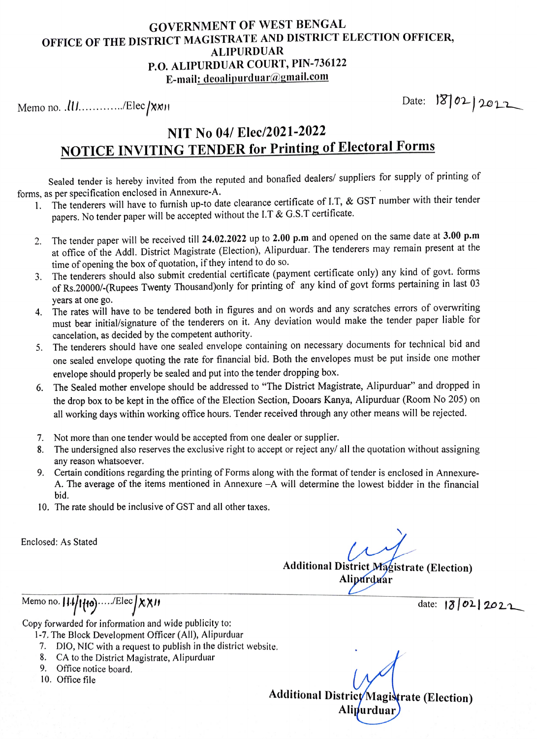## GOVERNMENT OF WEST BENGAL OFFICE OF THE DISTRICT MAGISTRATE AND DISTRICT ELECTION OFFICER, ALIPURDUAR P.O. ALIPURDUAR COURT, PIN-736122 E-mail: deoalipurduar@gmail.com

Date: 18 02 2022

## NIT No 04/ Elec/2021-2022 NOTICE INVITING TENDER for Printing of Electoral Forms

Sealed tender is hereby invited from the reputed and bonafied dealers/ suppliers for supply of printing of forms, as per specification enclosed in Annexure-A. forms, as per specification enclosed in Annexure-A.

- 1. The tenderers will have to furnish up-to date clearance certificate of I.T, & GST number with their tender papers. No tender paper will be accepted without the I.T & G.S.T certificate.
- 2. The tender paper will be received till 24.02.2022 up to 2.00 p.m and opened on the same date at 3.00 p.m at office of the Addl. District Magistrate (Election), Alipurduar. The tenderers may remain present at the time of opening the box of quotation, if they intend to do so.
- 3. The tenderers should also submit credential certificate (payment certificate only) any kind of govt. forms of Rs.20000/-(Rupees Twenty Thousand)only for printing of any kind of govt forms pertaining in last 03 years at one go.
- 4. The rates will have to be tendered both in figures and on words and any scratches errors of overwriting must bear initial/signature of the tenderers on it. Any deviation would make the tender paper liable for cancelation, as decided by the competent authority.
- 5. The tenderers should have one sealed envelope containing on necessary documents for technical bid and one sealed envelope quoting the rate for financial bid. Both the envelopes must be put inside one mother envelope should properly be sealed and put into the tender dropping box.
- 6. The Sealed mother envelope should be addressed to "The District Magistrate, Alipurduar" and dropped in the drop box to be kept in the office of the Election Section, Dooars Kanya, Alipurduar (Room No 205) on all working days within working office hours. Tender received through any other means will be rejected.
- 7. Not more than one tender would be accepted from one dealer or supplier.
- 8. The undersigned also reserves the exclusive right to accept or reject any/ all the quotation without assigning any reason whatsoever.
- 9. Certain conditions regarding the printing of Forms along with the format of tender is enclosed in Annexure-A. The average of the items mentioned in Annexure -A will determine the lowest bidder in the financial bid.
- 10. The rate should be inclusive of GST and all other taxes.

Enclosed: As Stated

Additional District Magistrate (Election)<br>Aliperduar

Memo no.  $114/1110)$ ...../Elec $\chi \chi$  M<br>date:  $13/021$  2021

Copy forwarded for information and wide publicity to:

- 1-7. The Block Development Officer (All), Alipurduar
- 7. DIO, NIC with a request to publish in the district website.
- 8. CA to the District Magistrate, Alipurduar
- 9. Office notice board.
- 10. Office file

Additional District/Magistrate (Election) Alipurdua